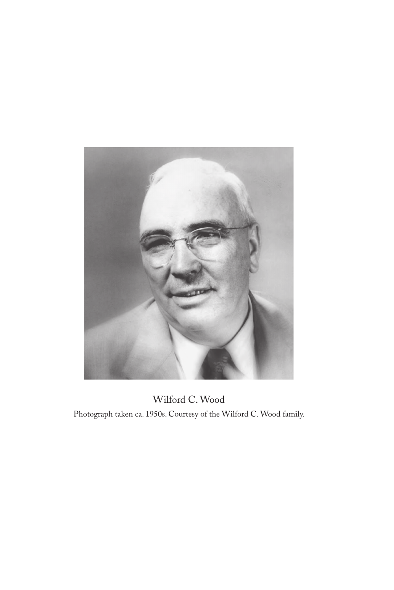

Wilford C. Wood Photograph taken ca. 1950s. Courtesy of the Wilford C. Wood family.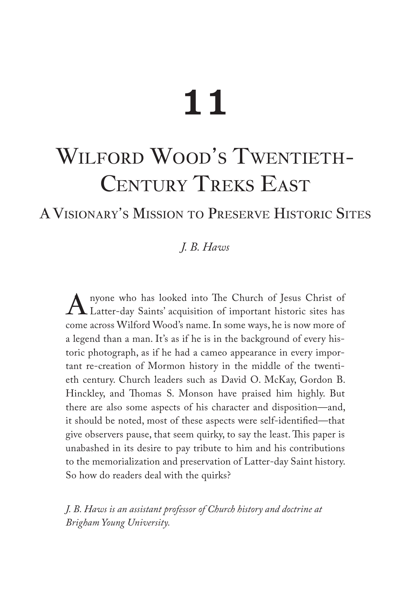# 11

## WILFORD WOOD'S TWENTIETH-CENTURY TREKS EAST

## AVisionary's Mission to Preserve Historic Sites

## *J. B. Haws*

Anyone who has looked into The Church of Jesus Christ of Latter-day Saints' acquisition of important historic sites has come across Wilford Wood's name. In some ways, he is now more of a legend than a man. It's as if he is in the background of every historic photograph, as if he had a cameo appearance in every important re-creation of Mormon history in the middle of the twentieth century. Church leaders such as David O. McKay, Gordon B. Hinckley, and Thomas S. Monson have praised him highly. But there are also some aspects of his character and disposition—and, it should be noted, most of these aspects were self-identified—that give observers pause, that seem quirky, to say the least. This paper is unabashed in its desire to pay tribute to him and his contributions to the memorialization and preservation of Latter-day Saint history. So how do readers deal with the quirks?

*J. B. Haws is an assistant professor of Church history and doctrine at Brigham Young University.*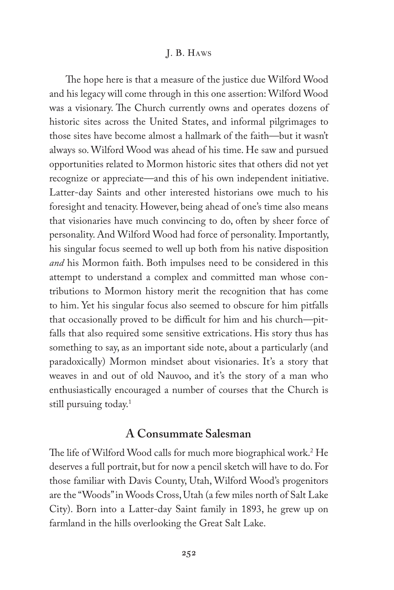The hope here is that a measure of the justice due Wilford Wood and his legacy will come through in this one assertion: Wilford Wood was a visionary. The Church currently owns and operates dozens of historic sites across the United States, and informal pilgrimages to those sites have become almost a hallmark of the faith—but it wasn't always so. Wilford Wood was ahead of his time. He saw and pursued opportunities related to Mormon historic sites that others did not yet recognize or appreciate—and this of his own independent initiative. Latter-day Saints and other interested historians owe much to his foresight and tenacity. However, being ahead of one's time also means that visionaries have much convincing to do, often by sheer force of personality. And Wilford Wood had force of personality. Importantly, his singular focus seemed to well up both from his native disposition *and* his Mormon faith. Both impulses need to be considered in this attempt to understand a complex and committed man whose contributions to Mormon history merit the recognition that has come to him. Yet his singular focus also seemed to obscure for him pitfalls that occasionally proved to be difficult for him and his church—pitfalls that also required some sensitive extrications. His story thus has something to say, as an important side note, about a particularly (and paradoxically) Mormon mindset about visionaries. It's a story that weaves in and out of old Nauvoo, and it's the story of a man who enthusiastically encouraged a number of courses that the Church is still pursuing today.<sup>1</sup>

## **A Consummate Salesman**

The life of Wilford Wood calls for much more biographical work.2 He deserves a full portrait, but for now a pencil sketch will have to do. For those familiar with Davis County, Utah, Wilford Wood's progenitors are the "Woods" in Woods Cross, Utah (a few miles north of Salt Lake City). Born into a Latter-day Saint family in 1893, he grew up on farmland in the hills overlooking the Great Salt Lake.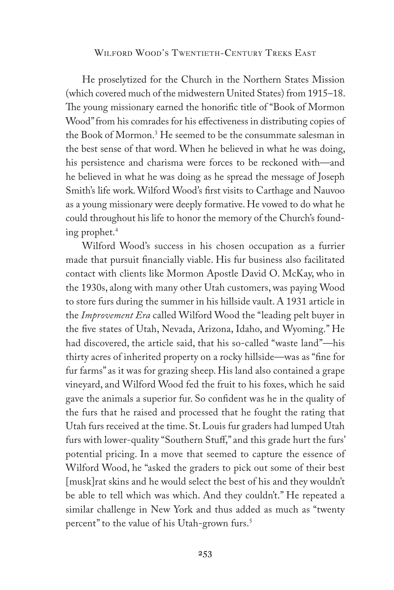He proselytized for the Church in the Northern States Mission (which covered much of the midwestern United States) from 1915–18. The young missionary earned the honorific title of "Book of Mormon Wood" from his comrades for his effectiveness in distributing copies of the Book of Mormon.3 He seemed to be the consummate salesman in the best sense of that word. When he believed in what he was doing, his persistence and charisma were forces to be reckoned with—and he believed in what he was doing as he spread the message of Joseph Smith's life work. Wilford Wood's first visits to Carthage and Nauvoo as a young missionary were deeply formative. He vowed to do what he could throughout his life to honor the memory of the Church's founding prophet.4

Wilford Wood's success in his chosen occupation as a furrier made that pursuit financially viable. His fur business also facilitated contact with clients like Mormon Apostle David O. McKay, who in the 1930s, along with many other Utah customers, was paying Wood to store furs during the summer in his hillside vault. A 1931 article in the *Improvement Era* called Wilford Wood the "leading pelt buyer in the five states of Utah, Nevada, Arizona, Idaho, and Wyoming." He had discovered, the article said, that his so-called "waste land"—his thirty acres of inherited property on a rocky hillside—was as "fine for fur farms" as it was for grazing sheep. His land also contained a grape vineyard, and Wilford Wood fed the fruit to his foxes, which he said gave the animals a superior fur. So confident was he in the quality of the furs that he raised and processed that he fought the rating that Utah furs received at the time. St. Louis fur graders had lumped Utah furs with lower-quality "Southern Stuff," and this grade hurt the furs' potential pricing. In a move that seemed to capture the essence of Wilford Wood, he "asked the graders to pick out some of their best [musk]rat skins and he would select the best of his and they wouldn't be able to tell which was which. And they couldn't." He repeated a similar challenge in New York and thus added as much as "twenty percent" to the value of his Utah-grown furs.<sup>5</sup>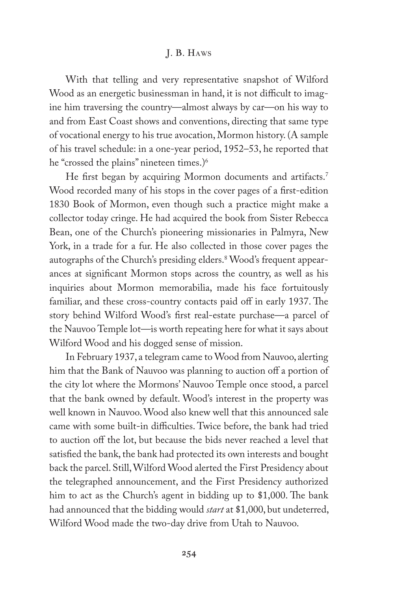With that telling and very representative snapshot of Wilford Wood as an energetic businessman in hand, it is not difficult to imagine him traversing the country—almost always by car—on his way to and from East Coast shows and conventions, directing that same type of vocational energy to his true avocation, Mormon history. (A sample of his travel schedule: in a one-year period, 1952–53, he reported that he "crossed the plains" nineteen times.)<sup>6</sup>

He first began by acquiring Mormon documents and artifacts.<sup>7</sup> Wood recorded many of his stops in the cover pages of a first-edition 1830 Book of Mormon, even though such a practice might make a collector today cringe. He had acquired the book from Sister Rebecca Bean, one of the Church's pioneering missionaries in Palmyra, New York, in a trade for a fur. He also collected in those cover pages the autographs of the Church's presiding elders.8 Wood's frequent appearances at significant Mormon stops across the country, as well as his inquiries about Mormon memorabilia, made his face fortuitously familiar, and these cross-country contacts paid off in early 1937. The story behind Wilford Wood's first real-estate purchase—a parcel of the Nauvoo Temple lot—is worth repeating here for what it says about Wilford Wood and his dogged sense of mission.

In February 1937, a telegram came to Wood from Nauvoo, alerting him that the Bank of Nauvoo was planning to auction off a portion of the city lot where the Mormons' Nauvoo Temple once stood, a parcel that the bank owned by default. Wood's interest in the property was well known in Nauvoo. Wood also knew well that this announced sale came with some built-in difficulties. Twice before, the bank had tried to auction off the lot, but because the bids never reached a level that satisfied the bank, the bank had protected its own interests and bought back the parcel. Still, Wilford Wood alerted the First Presidency about the telegraphed announcement, and the First Presidency authorized him to act as the Church's agent in bidding up to \$1,000. The bank had announced that the bidding would *start* at \$1,000, but undeterred, Wilford Wood made the two-day drive from Utah to Nauvoo.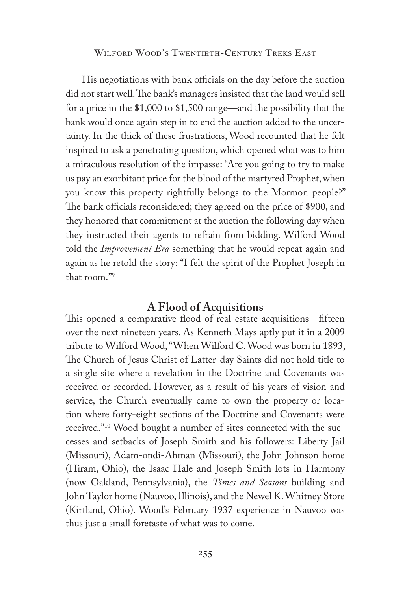His negotiations with bank officials on the day before the auction did not start well. The bank's managers insisted that the land would sell for a price in the \$1,000 to \$1,500 range—and the possibility that the bank would once again step in to end the auction added to the uncertainty. In the thick of these frustrations, Wood recounted that he felt inspired to ask a penetrating question, which opened what was to him a miraculous resolution of the impasse: "Are you going to try to make us pay an exorbitant price for the blood of the martyred Prophet, when you know this property rightfully belongs to the Mormon people?" The bank officials reconsidered; they agreed on the price of \$900, and they honored that commitment at the auction the following day when they instructed their agents to refrain from bidding. Wilford Wood told the *Improvement Era* something that he would repeat again and again as he retold the story: "I felt the spirit of the Prophet Joseph in that room."9

## **A Flood of Acquisitions**

This opened a comparative flood of real-estate acquisitions—fifteen over the next nineteen years. As Kenneth Mays aptly put it in a 2009 tribute to Wilford Wood, "When Wilford C. Wood was born in 1893, The Church of Jesus Christ of Latter-day Saints did not hold title to a single site where a revelation in the Doctrine and Covenants was received or recorded. However, as a result of his years of vision and service, the Church eventually came to own the property or location where forty-eight sections of the Doctrine and Covenants were received."10 Wood bought a number of sites connected with the successes and setbacks of Joseph Smith and his followers: Liberty Jail (Missouri), Adam-ondi-Ahman (Missouri), the John Johnson home (Hiram, Ohio), the Isaac Hale and Joseph Smith lots in Harmony (now Oakland, Pennsylvania), the *Times and Seasons* building and John Taylor home (Nauvoo, Illinois), and the Newel K. Whitney Store (Kirtland, Ohio). Wood's February 1937 experience in Nauvoo was thus just a small foretaste of what was to come.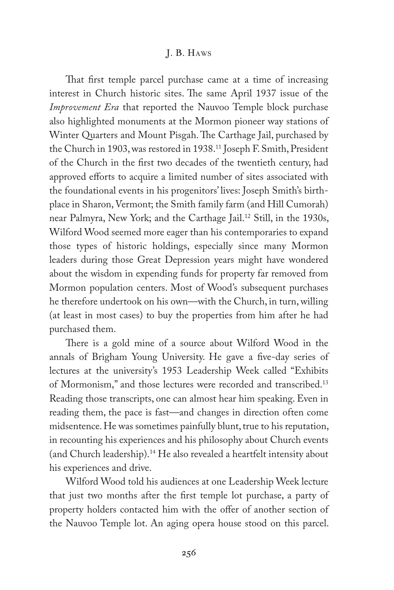That first temple parcel purchase came at a time of increasing interest in Church historic sites. The same April 1937 issue of the *Improvement Era* that reported the Nauvoo Temple block purchase also highlighted monuments at the Mormon pioneer way stations of Winter Quarters and Mount Pisgah. The Carthage Jail, purchased by the Church in 1903, was restored in 1938.11 Joseph F. Smith, President of the Church in the first two decades of the twentieth century, had approved efforts to acquire a limited number of sites associated with the foundational events in his progenitors' lives: Joseph Smith's birthplace in Sharon, Vermont; the Smith family farm (and Hill Cumorah) near Palmyra, New York; and the Carthage Jail.12 Still, in the 1930s, Wilford Wood seemed more eager than his contemporaries to expand those types of historic holdings, especially since many Mormon leaders during those Great Depression years might have wondered about the wisdom in expending funds for property far removed from Mormon population centers. Most of Wood's subsequent purchases he therefore undertook on his own—with the Church, in turn, willing (at least in most cases) to buy the properties from him after he had purchased them.

There is a gold mine of a source about Wilford Wood in the annals of Brigham Young University. He gave a five-day series of lectures at the university's 1953 Leadership Week called "Exhibits of Mormonism," and those lectures were recorded and transcribed.13 Reading those transcripts, one can almost hear him speaking. Even in reading them, the pace is fast—and changes in direction often come midsentence. He was sometimes painfully blunt, true to his reputation, in recounting his experiences and his philosophy about Church events (and Church leadership).14 He also revealed a heartfelt intensity about his experiences and drive.

Wilford Wood told his audiences at one Leadership Week lecture that just two months after the first temple lot purchase, a party of property holders contacted him with the offer of another section of the Nauvoo Temple lot. An aging opera house stood on this parcel.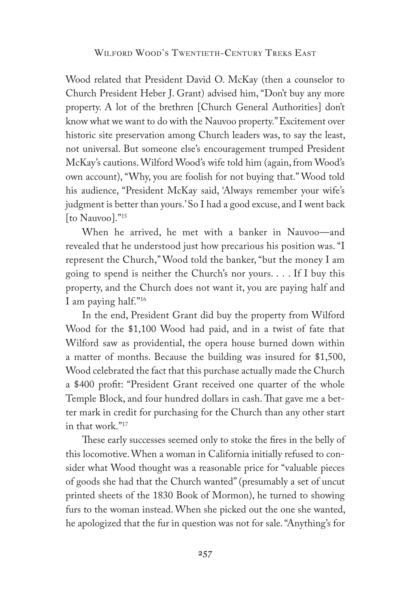Wood related that President David O. McKay (then a counselor to Church President Heber J. Grant) advised him, "Don't buy any more property. A lot of the brethren [Church General Authorities] don't know what we want to do with the Nauvoo property." Excitement over historic site preservation among Church leaders was, to say the least, not universal. But someone else's encouragement trumped President McKay's cautions. Wilford Wood's wife told him (again, from Wood's own account), "Why, you are foolish for not buying that." Wood told his audience, "President McKay said, 'Always remember your wife's judgment is better than yours.' So I had a good excuse, and I went back [to Nauvoo]."15

When he arrived, he met with a banker in Nauvoo—and revealed that he understood just how precarious his position was. "I represent the Church," Wood told the banker, "but the money I am going to spend is neither the Church's nor yours. . . . If I buy this property, and the Church does not want it, you are paying half and I am paying half."16

In the end, President Grant did buy the property from Wilford Wood for the \$1,100 Wood had paid, and in a twist of fate that Wilford saw as providential, the opera house burned down within a matter of months. Because the building was insured for \$1,500, Wood celebrated the fact that this purchase actually made the Church a \$400 profit: "President Grant received one quarter of the whole Temple Block, and four hundred dollars in cash. That gave me a better mark in credit for purchasing for the Church than any other start in that work."17

These early successes seemed only to stoke the fires in the belly of this locomotive. When a woman in California initially refused to consider what Wood thought was a reasonable price for "valuable pieces of goods she had that the Church wanted" (presumably a set of uncut printed sheets of the 1830 Book of Mormon), he turned to showing furs to the woman instead. When she picked out the one she wanted, he apologized that the fur in question was not for sale. "Anything's for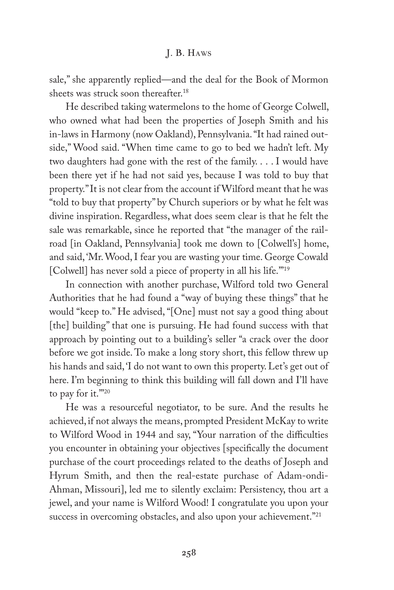sale," she apparently replied—and the deal for the Book of Mormon sheets was struck soon thereafter.18

He described taking watermelons to the home of George Colwell, who owned what had been the properties of Joseph Smith and his in-laws in Harmony (now Oakland), Pennsylvania. "It had rained outside," Wood said. "When time came to go to bed we hadn't left. My two daughters had gone with the rest of the family. . . . I would have been there yet if he had not said yes, because I was told to buy that property." It is not clear from the account if Wilford meant that he was "told to buy that property" by Church superiors or by what he felt was divine inspiration. Regardless, what does seem clear is that he felt the sale was remarkable, since he reported that "the manager of the railroad [in Oakland, Pennsylvania] took me down to [Colwell's] home, and said, 'Mr. Wood, I fear you are wasting your time. George Cowald [Colwell] has never sold a piece of property in all his life."<sup>19</sup>

In connection with another purchase, Wilford told two General Authorities that he had found a "way of buying these things" that he would "keep to." He advised, "[One] must not say a good thing about [the] building" that one is pursuing. He had found success with that approach by pointing out to a building's seller "a crack over the door before we got inside. To make a long story short, this fellow threw up his hands and said, 'I do not want to own this property. Let's get out of here. I'm beginning to think this building will fall down and I'll have to pay for it."20

He was a resourceful negotiator, to be sure. And the results he achieved, if not always the means, prompted President McKay to write to Wilford Wood in 1944 and say, "Your narration of the difficulties you encounter in obtaining your objectives [specifically the document purchase of the court proceedings related to the deaths of Joseph and Hyrum Smith, and then the real-estate purchase of Adam-ondi-Ahman, Missouri], led me to silently exclaim: Persistency, thou art a jewel, and your name is Wilford Wood! I congratulate you upon your success in overcoming obstacles, and also upon your achievement."<sup>21</sup>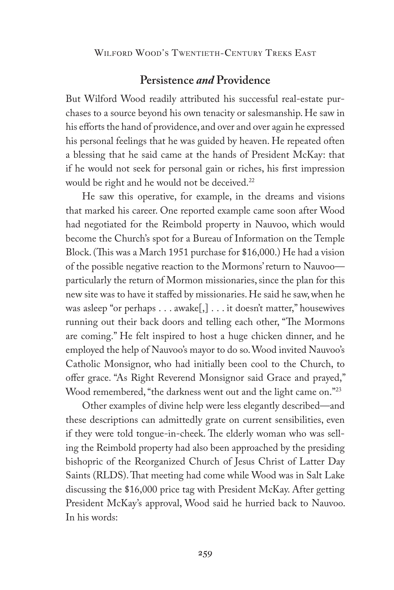## **Persistence** *and* **Providence**

But Wilford Wood readily attributed his successful real-estate purchases to a source beyond his own tenacity or salesmanship. He saw in his efforts the hand of providence, and over and over again he expressed his personal feelings that he was guided by heaven. He repeated often a blessing that he said came at the hands of President McKay: that if he would not seek for personal gain or riches, his first impression would be right and he would not be deceived.<sup>22</sup>

He saw this operative, for example, in the dreams and visions that marked his career. One reported example came soon after Wood had negotiated for the Reimbold property in Nauvoo, which would become the Church's spot for a Bureau of Information on the Temple Block. (This was a March 1951 purchase for \$16,000.) He had a vision of the possible negative reaction to the Mormons' return to Nauvoo particularly the return of Mormon missionaries, since the plan for this new site was to have it staffed by missionaries. He said he saw, when he was asleep "or perhaps . . . awake[,] . . . it doesn't matter," housewives running out their back doors and telling each other, "The Mormons are coming." He felt inspired to host a huge chicken dinner, and he employed the help of Nauvoo's mayor to do so. Wood invited Nauvoo's Catholic Monsignor, who had initially been cool to the Church, to offer grace. "As Right Reverend Monsignor said Grace and prayed," Wood remembered, "the darkness went out and the light came on."<sup>23</sup>

Other examples of divine help were less elegantly described—and these descriptions can admittedly grate on current sensibilities, even if they were told tongue-in-cheek. The elderly woman who was selling the Reimbold property had also been approached by the presiding bishopric of the Reorganized Church of Jesus Christ of Latter Day Saints (RLDS). That meeting had come while Wood was in Salt Lake discussing the \$16,000 price tag with President McKay. After getting President McKay's approval, Wood said he hurried back to Nauvoo. In his words: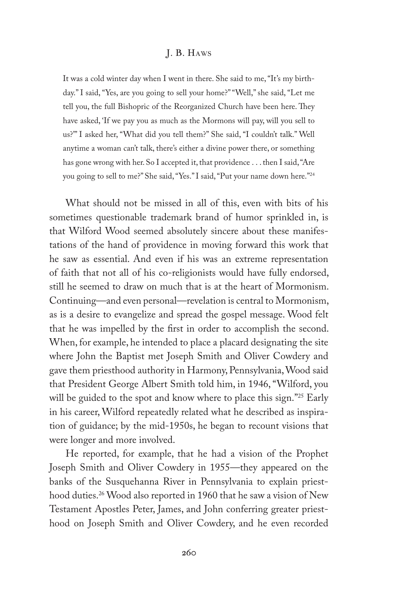It was a cold winter day when I went in there. She said to me, "It's my birthday." I said, "Yes, are you going to sell your home?" "Well," she said, "Let me tell you, the full Bishopric of the Reorganized Church have been here. They have asked, 'If we pay you as much as the Mormons will pay, will you sell to us?'" I asked her, "What did you tell them?" She said, "I couldn't talk." Well anytime a woman can't talk, there's either a divine power there, or something has gone wrong with her. So I accepted it, that providence . . . then I said, "Are you going to sell to me?" She said, "Yes." I said, "Put your name down here."24

What should not be missed in all of this, even with bits of his sometimes questionable trademark brand of humor sprinkled in, is that Wilford Wood seemed absolutely sincere about these manifestations of the hand of providence in moving forward this work that he saw as essential. And even if his was an extreme representation of faith that not all of his co-religionists would have fully endorsed, still he seemed to draw on much that is at the heart of Mormonism. Continuing—and even personal—revelation is central to Mormonism, as is a desire to evangelize and spread the gospel message. Wood felt that he was impelled by the first in order to accomplish the second. When, for example, he intended to place a placard designating the site where John the Baptist met Joseph Smith and Oliver Cowdery and gave them priesthood authority in Harmony, Pennsylvania, Wood said that President George Albert Smith told him, in 1946, "Wilford, you will be guided to the spot and know where to place this sign."<sup>25</sup> Early in his career, Wilford repeatedly related what he described as inspiration of guidance; by the mid-1950s, he began to recount visions that were longer and more involved.

He reported, for example, that he had a vision of the Prophet Joseph Smith and Oliver Cowdery in 1955—they appeared on the banks of the Susquehanna River in Pennsylvania to explain priesthood duties.<sup>26</sup> Wood also reported in 1960 that he saw a vision of New Testament Apostles Peter, James, and John conferring greater priesthood on Joseph Smith and Oliver Cowdery, and he even recorded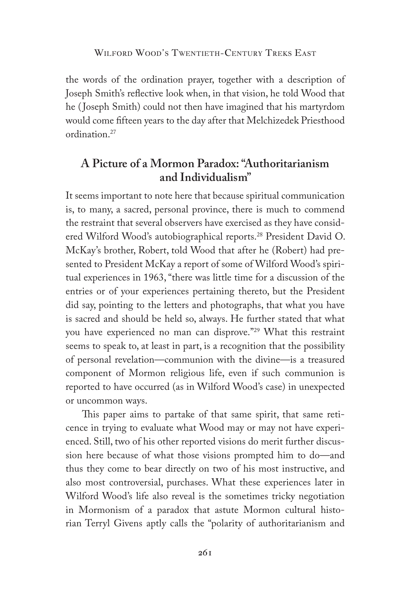the words of the ordination prayer, together with a description of Joseph Smith's reflective look when, in that vision, he told Wood that he ( Joseph Smith) could not then have imagined that his martyrdom would come fifteen years to the day after that Melchizedek Priesthood ordination.27

## **A Picture of a Mormon Paradox: "Authoritarianism and Individualism"**

It seems important to note here that because spiritual communication is, to many, a sacred, personal province, there is much to commend the restraint that several observers have exercised as they have considered Wilford Wood's autobiographical reports.28 President David O. McKay's brother, Robert, told Wood that after he (Robert) had presented to President McKay a report of some of Wilford Wood's spiritual experiences in 1963, "there was little time for a discussion of the entries or of your experiences pertaining thereto, but the President did say, pointing to the letters and photographs, that what you have is sacred and should be held so, always. He further stated that what you have experienced no man can disprove."29 What this restraint seems to speak to, at least in part, is a recognition that the possibility of personal revelation—communion with the divine—is a treasured component of Mormon religious life, even if such communion is reported to have occurred (as in Wilford Wood's case) in unexpected or uncommon ways.

This paper aims to partake of that same spirit, that same reticence in trying to evaluate what Wood may or may not have experienced. Still, two of his other reported visions do merit further discussion here because of what those visions prompted him to do—and thus they come to bear directly on two of his most instructive, and also most controversial, purchases. What these experiences later in Wilford Wood's life also reveal is the sometimes tricky negotiation in Mormonism of a paradox that astute Mormon cultural historian Terryl Givens aptly calls the "polarity of authoritarianism and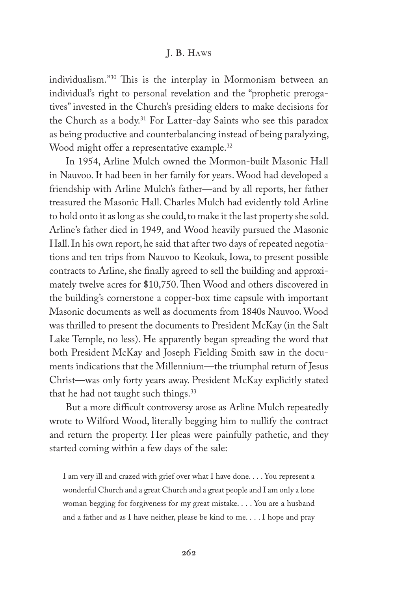individualism."30 This is the interplay in Mormonism between an individual's right to personal revelation and the "prophetic prerogatives" invested in the Church's presiding elders to make decisions for the Church as a body.31 For Latter-day Saints who see this paradox as being productive and counterbalancing instead of being paralyzing, Wood might offer a representative example.<sup>32</sup>

In 1954, Arline Mulch owned the Mormon-built Masonic Hall in Nauvoo. It had been in her family for years. Wood had developed a friendship with Arline Mulch's father—and by all reports, her father treasured the Masonic Hall. Charles Mulch had evidently told Arline to hold onto it as long as she could, to make it the last property she sold. Arline's father died in 1949, and Wood heavily pursued the Masonic Hall. In his own report, he said that after two days of repeated negotiations and ten trips from Nauvoo to Keokuk, Iowa, to present possible contracts to Arline, she finally agreed to sell the building and approximately twelve acres for \$10,750. Then Wood and others discovered in the building's cornerstone a copper-box time capsule with important Masonic documents as well as documents from 1840s Nauvoo. Wood was thrilled to present the documents to President McKay (in the Salt Lake Temple, no less). He apparently began spreading the word that both President McKay and Joseph Fielding Smith saw in the documents indications that the Millennium—the triumphal return of Jesus Christ—was only forty years away. President McKay explicitly stated that he had not taught such things.<sup>33</sup>

But a more difficult controversy arose as Arline Mulch repeatedly wrote to Wilford Wood, literally begging him to nullify the contract and return the property. Her pleas were painfully pathetic, and they started coming within a few days of the sale:

I am very ill and crazed with grief over what I have done. . . . You represent a wonderful Church and a great Church and a great people and I am only a lone woman begging for forgiveness for my great mistake. . . . You are a husband and a father and as I have neither, please be kind to me. . . . I hope and pray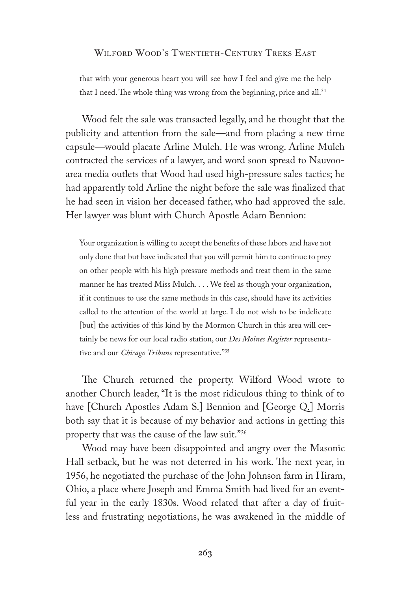that with your generous heart you will see how I feel and give me the help that I need. The whole thing was wrong from the beginning, price and all.<sup>34</sup>

Wood felt the sale was transacted legally, and he thought that the publicity and attention from the sale—and from placing a new time capsule—would placate Arline Mulch. He was wrong. Arline Mulch contracted the services of a lawyer, and word soon spread to Nauvooarea media outlets that Wood had used high-pressure sales tactics; he had apparently told Arline the night before the sale was finalized that he had seen in vision her deceased father, who had approved the sale. Her lawyer was blunt with Church Apostle Adam Bennion:

Your organization is willing to accept the benefits of these labors and have not only done that but have indicated that you will permit him to continue to prey on other people with his high pressure methods and treat them in the same manner he has treated Miss Mulch. . . . We feel as though your organization, if it continues to use the same methods in this case, should have its activities called to the attention of the world at large. I do not wish to be indelicate [but] the activities of this kind by the Mormon Church in this area will certainly be news for our local radio station, our *Des Moines Register* representative and our *Chicago Tribune* representative."35

The Church returned the property. Wilford Wood wrote to another Church leader, "It is the most ridiculous thing to think of to have [Church Apostles Adam S.] Bennion and [George Q.] Morris both say that it is because of my behavior and actions in getting this property that was the cause of the law suit."36

Wood may have been disappointed and angry over the Masonic Hall setback, but he was not deterred in his work. The next year, in 1956, he negotiated the purchase of the John Johnson farm in Hiram, Ohio, a place where Joseph and Emma Smith had lived for an eventful year in the early 1830s. Wood related that after a day of fruitless and frustrating negotiations, he was awakened in the middle of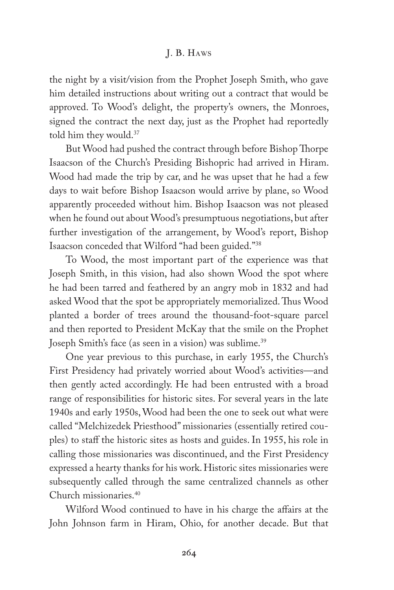the night by a visit/vision from the Prophet Joseph Smith, who gave him detailed instructions about writing out a contract that would be approved. To Wood's delight, the property's owners, the Monroes, signed the contract the next day, just as the Prophet had reportedly told him they would.37

But Wood had pushed the contract through before Bishop Thorpe Isaacson of the Church's Presiding Bishopric had arrived in Hiram. Wood had made the trip by car, and he was upset that he had a few days to wait before Bishop Isaacson would arrive by plane, so Wood apparently proceeded without him. Bishop Isaacson was not pleased when he found out about Wood's presumptuous negotiations, but after further investigation of the arrangement, by Wood's report, Bishop Isaacson conceded that Wilford "had been guided."38

To Wood, the most important part of the experience was that Joseph Smith, in this vision, had also shown Wood the spot where he had been tarred and feathered by an angry mob in 1832 and had asked Wood that the spot be appropriately memorialized. Thus Wood planted a border of trees around the thousand-foot-square parcel and then reported to President McKay that the smile on the Prophet Joseph Smith's face (as seen in a vision) was sublime.<sup>39</sup>

One year previous to this purchase, in early 1955, the Church's First Presidency had privately worried about Wood's activities—and then gently acted accordingly. He had been entrusted with a broad range of responsibilities for historic sites. For several years in the late 1940s and early 1950s, Wood had been the one to seek out what were called "Melchizedek Priesthood" missionaries (essentially retired couples) to staff the historic sites as hosts and guides. In 1955, his role in calling those missionaries was discontinued, and the First Presidency expressed a hearty thanks for his work. Historic sites missionaries were subsequently called through the same centralized channels as other Church missionaries.40

Wilford Wood continued to have in his charge the affairs at the John Johnson farm in Hiram, Ohio, for another decade. But that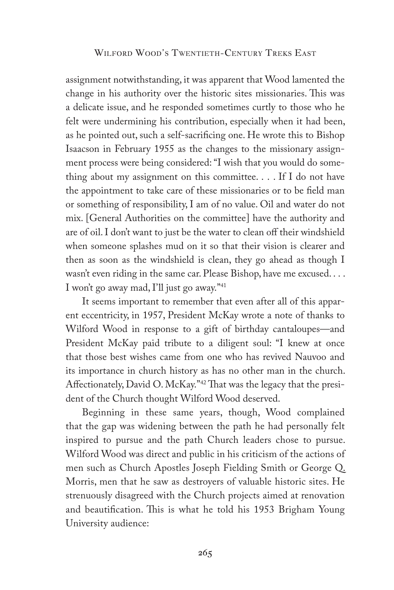assignment notwithstanding, it was apparent that Wood lamented the change in his authority over the historic sites missionaries. This was a delicate issue, and he responded sometimes curtly to those who he felt were undermining his contribution, especially when it had been, as he pointed out, such a self-sacrificing one. He wrote this to Bishop Isaacson in February 1955 as the changes to the missionary assignment process were being considered: "I wish that you would do something about my assignment on this committee. . . . If I do not have the appointment to take care of these missionaries or to be field man or something of responsibility, I am of no value. Oil and water do not mix. [General Authorities on the committee] have the authority and are of oil. I don't want to just be the water to clean off their windshield when someone splashes mud on it so that their vision is clearer and then as soon as the windshield is clean, they go ahead as though I wasn't even riding in the same car. Please Bishop, have me excused. . . . I won't go away mad, I'll just go away."41

It seems important to remember that even after all of this apparent eccentricity, in 1957, President McKay wrote a note of thanks to Wilford Wood in response to a gift of birthday cantaloupes—and President McKay paid tribute to a diligent soul: "I knew at once that those best wishes came from one who has revived Nauvoo and its importance in church history as has no other man in the church. Affectionately, David O. McKay."42 That was the legacy that the president of the Church thought Wilford Wood deserved.

Beginning in these same years, though, Wood complained that the gap was widening between the path he had personally felt inspired to pursue and the path Church leaders chose to pursue. Wilford Wood was direct and public in his criticism of the actions of men such as Church Apostles Joseph Fielding Smith or George Q. Morris, men that he saw as destroyers of valuable historic sites. He strenuously disagreed with the Church projects aimed at renovation and beautification. This is what he told his 1953 Brigham Young University audience:

265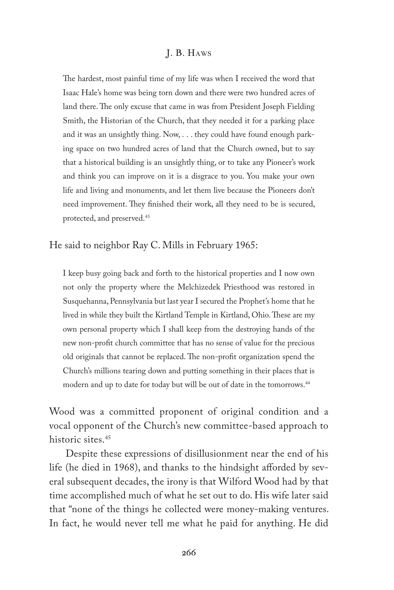The hardest, most painful time of my life was when I received the word that Isaac Hale's home was being torn down and there were two hundred acres of land there. The only excuse that came in was from President Joseph Fielding Smith, the Historian of the Church, that they needed it for a parking place and it was an unsightly thing. Now, . . . they could have found enough parking space on two hundred acres of land that the Church owned, but to say that a historical building is an unsightly thing, or to take any Pioneer's work and think you can improve on it is a disgrace to you. You make your own life and living and monuments, and let them live because the Pioneers don't need improvement. They finished their work, all they need to be is secured, protected, and preserved.<sup>43</sup>

He said to neighbor Ray C. Mills in February 1965:

I keep busy going back and forth to the historical properties and I now own not only the property where the Melchizedek Priesthood was restored in Susquehanna, Pennsylvania but last year I secured the Prophet's home that he lived in while they built the Kirtland Temple in Kirtland, Ohio. These are my own personal property which I shall keep from the destroying hands of the new non-profit church committee that has no sense of value for the precious old originals that cannot be replaced. The non-profit organization spend the Church's millions tearing down and putting something in their places that is modern and up to date for today but will be out of date in the tomorrows.<sup>44</sup>

Wood was a committed proponent of original condition and a vocal opponent of the Church's new committee-based approach to historic sites.<sup>45</sup>

Despite these expressions of disillusionment near the end of his life (he died in 1968), and thanks to the hindsight afforded by several subsequent decades, the irony is that Wilford Wood had by that time accomplished much of what he set out to do. His wife later said that "none of the things he collected were money-making ventures. In fact, he would never tell me what he paid for anything. He did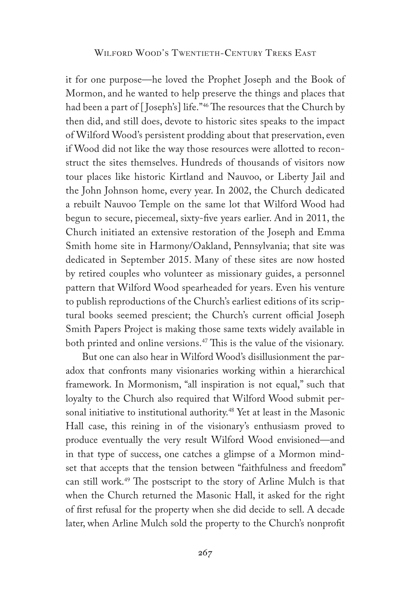it for one purpose—he loved the Prophet Joseph and the Book of Mormon, and he wanted to help preserve the things and places that had been a part of [Joseph's] life."<sup>46</sup> The resources that the Church by then did, and still does, devote to historic sites speaks to the impact of Wilford Wood's persistent prodding about that preservation, even if Wood did not like the way those resources were allotted to reconstruct the sites themselves. Hundreds of thousands of visitors now tour places like historic Kirtland and Nauvoo, or Liberty Jail and the John Johnson home, every year. In 2002, the Church dedicated a rebuilt Nauvoo Temple on the same lot that Wilford Wood had begun to secure, piecemeal, sixty-five years earlier. And in 2011, the Church initiated an extensive restoration of the Joseph and Emma Smith home site in Harmony/Oakland, Pennsylvania; that site was dedicated in September 2015. Many of these sites are now hosted by retired couples who volunteer as missionary guides, a personnel pattern that Wilford Wood spearheaded for years. Even his venture to publish reproductions of the Church's earliest editions of its scriptural books seemed prescient; the Church's current official Joseph Smith Papers Project is making those same texts widely available in both printed and online versions.<sup>47</sup> This is the value of the visionary.

But one can also hear in Wilford Wood's disillusionment the paradox that confronts many visionaries working within a hierarchical framework. In Mormonism, "all inspiration is not equal," such that loyalty to the Church also required that Wilford Wood submit personal initiative to institutional authority.<sup>48</sup> Yet at least in the Masonic Hall case, this reining in of the visionary's enthusiasm proved to produce eventually the very result Wilford Wood envisioned—and in that type of success, one catches a glimpse of a Mormon mindset that accepts that the tension between "faithfulness and freedom" can still work.49 The postscript to the story of Arline Mulch is that when the Church returned the Masonic Hall, it asked for the right of first refusal for the property when she did decide to sell. A decade later, when Arline Mulch sold the property to the Church's nonprofit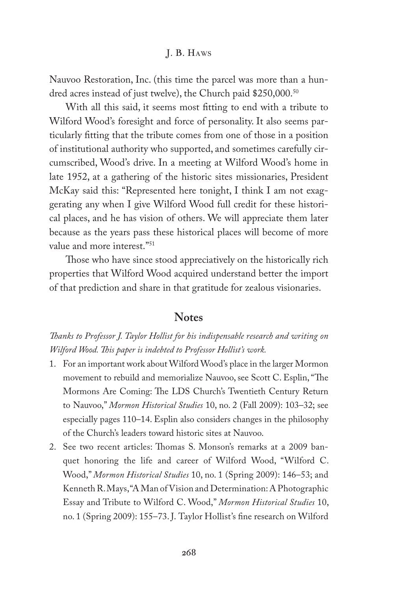Nauvoo Restoration, Inc. (this time the parcel was more than a hundred acres instead of just twelve), the Church paid \$250,000.<sup>50</sup>

With all this said, it seems most fitting to end with a tribute to Wilford Wood's foresight and force of personality. It also seems particularly fitting that the tribute comes from one of those in a position of institutional authority who supported, and sometimes carefully circumscribed, Wood's drive. In a meeting at Wilford Wood's home in late 1952, at a gathering of the historic sites missionaries, President McKay said this: "Represented here tonight, I think I am not exaggerating any when I give Wilford Wood full credit for these historical places, and he has vision of others. We will appreciate them later because as the years pass these historical places will become of more value and more interest."51

Those who have since stood appreciatively on the historically rich properties that Wilford Wood acquired understand better the import of that prediction and share in that gratitude for zealous visionaries.

## **Notes**

*Thanks to Professor J. Taylor Hollist for his indispensable research and writing on Wilford Wood. This paper is indebted to Professor Hollist's work.*

- 1. For an important work about Wilford Wood's place in the larger Mormon movement to rebuild and memorialize Nauvoo, see Scott C. Esplin, "The Mormons Are Coming: The LDS Church's Twentieth Century Return to Nauvoo," *Mormon Historical Studies* 10, no. 2 (Fall 2009): 103–32; see especially pages 110–14. Esplin also considers changes in the philosophy of the Church's leaders toward historic sites at Nauvoo.
- 2. See two recent articles: Thomas S. Monson's remarks at a 2009 banquet honoring the life and career of Wilford Wood, "Wilford C. Wood," *Mormon Historical Studies* 10, no. 1 (Spring 2009): 146–53; and Kenneth R. Mays, "A Man of Vision and Determination: A Photographic Essay and Tribute to Wilford C. Wood," *Mormon Historical Studies* 10, no. 1 (Spring 2009): 155–73. J. Taylor Hollist's fine research on Wilford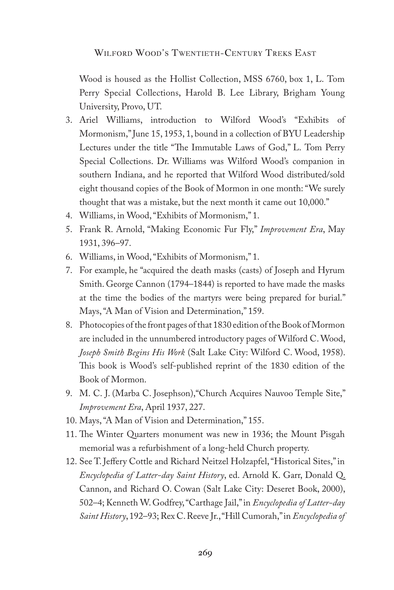Wood is housed as the Hollist Collection, MSS 6760, box 1, L. Tom Perry Special Collections, Harold B. Lee Library, Brigham Young University, Provo, UT.

- 3. Ariel Williams, introduction to Wilford Wood's "Exhibits of Mormonism," June 15, 1953, 1, bound in a collection of BYU Leadership Lectures under the title "The Immutable Laws of God," L. Tom Perry Special Collections. Dr. Williams was Wilford Wood's companion in southern Indiana, and he reported that Wilford Wood distributed/sold eight thousand copies of the Book of Mormon in one month: "We surely thought that was a mistake, but the next month it came out 10,000."
- 4. Williams, in Wood, "Exhibits of Mormonism," 1.
- 5. Frank R. Arnold, "Making Economic Fur Fly," *Improvement Era*, May 1931, 396–97.
- 6. Williams, in Wood, "Exhibits of Mormonism," 1.
- 7. For example, he "acquired the death masks (casts) of Joseph and Hyrum Smith. George Cannon (1794–1844) is reported to have made the masks at the time the bodies of the martyrs were being prepared for burial." Mays, "A Man of Vision and Determination," 159.
- 8. Photocopies of the front pages of that 1830 edition of the Book of Mormon are included in the unnumbered introductory pages of Wilford C. Wood, *Joseph Smith Begins His Work* (Salt Lake City: Wilford C. Wood, 1958). This book is Wood's self-published reprint of the 1830 edition of the Book of Mormon.
- 9. M. C. J. (Marba C. Josephson),"Church Acquires Nauvoo Temple Site," *Improvement Era*, April 1937, 227.
- 10. Mays, "A Man of Vision and Determination," 155.
- 11. The Winter Quarters monument was new in 1936; the Mount Pisgah memorial was a refurbishment of a long-held Church property.
- 12. See T. Jeffery Cottle and Richard Neitzel Holzapfel, "Historical Sites," in *Encyclopedia of Latter-day Saint History*, ed. Arnold K. Garr, Donald Q. Cannon, and Richard O. Cowan (Salt Lake City: Deseret Book, 2000), 502–4; Kenneth W. Godfrey, "Carthage Jail," in *Encyclopedia of Latter-day Saint History*, 192–93; Rex C. Reeve Jr., "Hill Cumorah," in *Encyclopedia of*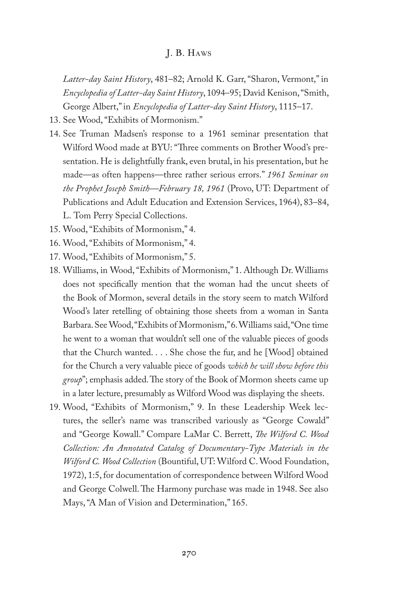*Latter-day Saint History*, 481–82; Arnold K. Garr, "Sharon, Vermont," in *Encyclopedia of Latter-day Saint History*, 1094–95; David Kenison, "Smith, George Albert," in *Encyclopedia of Latter-day Saint History*, 1115–17.

- 13. See Wood, "Exhibits of Mormonism."
- 14. See Truman Madsen's response to a 1961 seminar presentation that Wilford Wood made at BYU: "Three comments on Brother Wood's presentation. He is delightfully frank, even brutal, in his presentation, but he made—as often happens—three rather serious errors." *1961 Seminar on the Prophet Joseph Smith—February 18, 1961* (Provo, UT: Department of Publications and Adult Education and Extension Services, 1964), 83–84, L. Tom Perry Special Collections.
- 15. Wood, "Exhibits of Mormonism," 4.
- 16. Wood, "Exhibits of Mormonism," 4.
- 17. Wood, "Exhibits of Mormonism," 5.
- 18. Williams, in Wood, "Exhibits of Mormonism," 1. Although Dr. Williams does not specifically mention that the woman had the uncut sheets of the Book of Mormon, several details in the story seem to match Wilford Wood's later retelling of obtaining those sheets from a woman in Santa Barbara. See Wood, "Exhibits of Mormonism," 6. Williams said, "One time he went to a woman that wouldn't sell one of the valuable pieces of goods that the Church wanted. . . . She chose the fur, and he [Wood] obtained for the Church a very valuable piece of goods *which he will show before this group*"; emphasis added. The story of the Book of Mormon sheets came up in a later lecture, presumably as Wilford Wood was displaying the sheets.
- 19. Wood, "Exhibits of Mormonism," 9. In these Leadership Week lectures, the seller's name was transcribed variously as "George Cowald" and "George Kowall." Compare LaMar C. Berrett, *The Wilford C. Wood Collection: An Annotated Catalog of Documentary-Type Materials in the Wilford C. Wood Collection* (Bountiful, UT: Wilford C. Wood Foundation, 1972), 1:5, for documentation of correspondence between Wilford Wood and George Colwell. The Harmony purchase was made in 1948. See also Mays, "A Man of Vision and Determination," 165.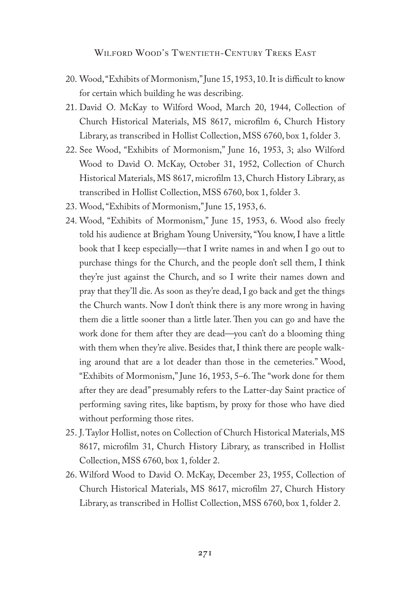- 20. Wood, "Exhibits of Mormonism," June 15, 1953, 10. It is difficult to know for certain which building he was describing.
- 21. David O. McKay to Wilford Wood, March 20, 1944, Collection of Church Historical Materials, MS 8617, microfilm 6, Church History Library, as transcribed in Hollist Collection, MSS 6760, box 1, folder 3.
- 22. See Wood, "Exhibits of Mormonism," June 16, 1953, 3; also Wilford Wood to David O. McKay, October 31, 1952, Collection of Church Historical Materials, MS 8617, microfilm 13, Church History Library, as transcribed in Hollist Collection, MSS 6760, box 1, folder 3.
- 23. Wood, "Exhibits of Mormonism," June 15, 1953, 6.
- 24. Wood, "Exhibits of Mormonism," June 15, 1953, 6. Wood also freely told his audience at Brigham Young University, "You know, I have a little book that I keep especially—that I write names in and when I go out to purchase things for the Church, and the people don't sell them, I think they're just against the Church, and so I write their names down and pray that they'll die. As soon as they're dead, I go back and get the things the Church wants. Now I don't think there is any more wrong in having them die a little sooner than a little later. Then you can go and have the work done for them after they are dead—you can't do a blooming thing with them when they're alive. Besides that, I think there are people walking around that are a lot deader than those in the cemeteries." Wood, "Exhibits of Mormonism," June 16, 1953, 5–6. The "work done for them after they are dead" presumably refers to the Latter-day Saint practice of performing saving rites, like baptism, by proxy for those who have died without performing those rites.
- 25. J. Taylor Hollist, notes on Collection of Church Historical Materials, MS 8617, microfilm 31, Church History Library, as transcribed in Hollist Collection, MSS 6760, box 1, folder 2.
- 26. Wilford Wood to David O. McKay, December 23, 1955, Collection of Church Historical Materials, MS 8617, microfilm 27, Church History Library, as transcribed in Hollist Collection, MSS 6760, box 1, folder 2.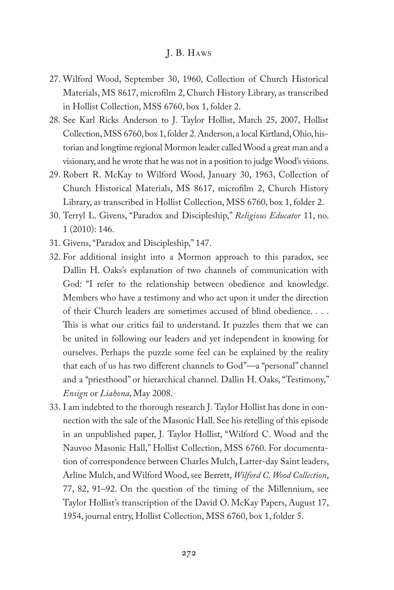- 27. Wilford Wood, September 30, 1960, Collection of Church Historical Materials, MS 8617, microfilm 2, Church History Library, as transcribed in Hollist Collection, MSS 6760, box 1, folder 2.
- 28. See Karl Ricks Anderson to J. Taylor Hollist, March 25, 2007, Hollist Collection, MSS 6760, box 1, folder 2. Anderson, a local Kirtland, Ohio, historian and longtime regional Mormon leader called Wood a great man and a visionary, and he wrote that he was not in a position to judge Wood's visions.
- 29. Robert R. McKay to Wilford Wood, January 30, 1963, Collection of Church Historical Materials, MS 8617, microfilm 2, Church History Library, as transcribed in Hollist Collection, MSS 6760, box 1, folder 2.
- 30. Terryl L. Givens, "Paradox and Discipleship," *Religious Educator* 11, no. 1 (2010): 146.
- 31. Givens, "Paradox and Discipleship," 147.
- 32. For additional insight into a Mormon approach to this paradox, see Dallin H. Oaks's explanation of two channels of communication with God: "I refer to the relationship between obedience and knowledge. Members who have a testimony and who act upon it under the direction of their Church leaders are sometimes accused of blind obedience. . . . This is what our critics fail to understand. It puzzles them that we can be united in following our leaders and yet independent in knowing for ourselves. Perhaps the puzzle some feel can be explained by the reality that each of us has two different channels to God"—a "personal" channel and a "priesthood" or hierarchical channel. Dallin H. Oaks, "Testimony," *Ensign* or *Liahona*, May 2008.
- 33. I am indebted to the thorough research J. Taylor Hollist has done in connection with the sale of the Masonic Hall. See his retelling of this episode in an unpublished paper, J. Taylor Hollist, "Wilford C. Wood and the Nauvoo Masonic Hall," Hollist Collection, MSS 6760. For documentation of correspondence between Charles Mulch, Latter-day Saint leaders, Arline Mulch, and Wilford Wood, see Berrett, *Wilford C. Wood Collection*, 77, 82, 91–92. On the question of the timing of the Millennium, see Taylor Hollist's transcription of the David O. McKay Papers, August 17, 1954, journal entry, Hollist Collection, MSS 6760, box 1, folder 5.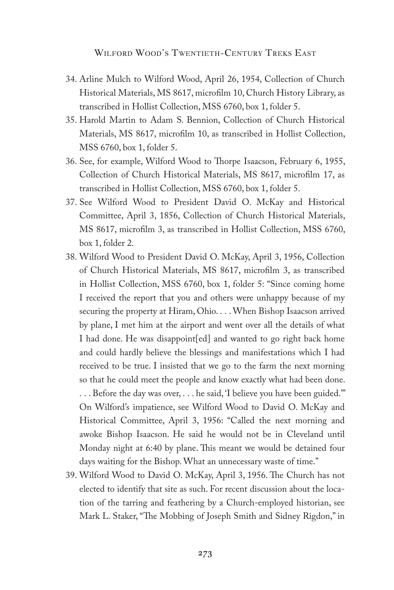- 34. Arline Mulch to Wilford Wood, April 26, 1954, Collection of Church Historical Materials, MS 8617, microfilm 10, Church History Library, as transcribed in Hollist Collection, MSS 6760, box 1, folder 5.
- 35. Harold Martin to Adam S. Bennion, Collection of Church Historical Materials, MS 8617, microfilm 10, as transcribed in Hollist Collection, MSS 6760, box 1, folder 5.
- 36. See, for example, Wilford Wood to Thorpe Isaacson, February 6, 1955, Collection of Church Historical Materials, MS 8617, microfilm 17, as transcribed in Hollist Collection, MSS 6760, box 1, folder 5.
- 37. See Wilford Wood to President David O. McKay and Historical Committee, April 3, 1856, Collection of Church Historical Materials, MS 8617, microfilm 3, as transcribed in Hollist Collection, MSS 6760, box 1, folder 2.
- 38. Wilford Wood to President David O. McKay, April 3, 1956, Collection of Church Historical Materials, MS 8617, microfilm 3, as transcribed in Hollist Collection, MSS 6760, box 1, folder 5: "Since coming home I received the report that you and others were unhappy because of my securing the property at Hiram, Ohio. . . . When Bishop Isaacson arrived by plane, I met him at the airport and went over all the details of what I had done. He was disappoint[ed] and wanted to go right back home and could hardly believe the blessings and manifestations which I had received to be true. I insisted that we go to the farm the next morning so that he could meet the people and know exactly what had been done. . . . Before the day was over, . . . he said, 'I believe you have been guided.'" On Wilford's impatience, see Wilford Wood to David O. McKay and Historical Committee, April 3, 1956: "Called the next morning and

awoke Bishop Isaacson. He said he would not be in Cleveland until Monday night at 6:40 by plane. This meant we would be detained four days waiting for the Bishop. What an unnecessary waste of time."

39. Wilford Wood to David O. McKay, April 3, 1956. The Church has not elected to identify that site as such. For recent discussion about the location of the tarring and feathering by a Church-employed historian, see Mark L. Staker, "The Mobbing of Joseph Smith and Sidney Rigdon," in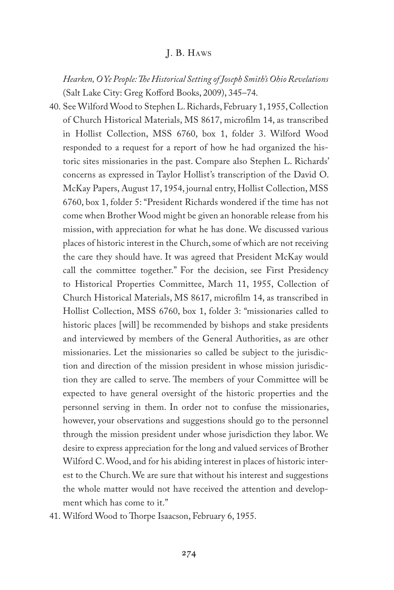*Hearken, O Ye People: The Historical Setting of Joseph Smith's Ohio Revelations* (Salt Lake City: Greg Kofford Books, 2009), 345–74.

- 40. See Wilford Wood to Stephen L. Richards, February 1, 1955, Collection of Church Historical Materials, MS 8617, microfilm 14, as transcribed in Hollist Collection, MSS 6760, box 1, folder 3. Wilford Wood responded to a request for a report of how he had organized the historic sites missionaries in the past. Compare also Stephen L. Richards' concerns as expressed in Taylor Hollist's transcription of the David O. McKay Papers, August 17, 1954, journal entry, Hollist Collection, MSS 6760, box 1, folder 5: "President Richards wondered if the time has not come when Brother Wood might be given an honorable release from his mission, with appreciation for what he has done. We discussed various places of historic interest in the Church, some of which are not receiving the care they should have. It was agreed that President McKay would call the committee together." For the decision, see First Presidency to Historical Properties Committee, March 11, 1955, Collection of Church Historical Materials, MS 8617, microfilm 14, as transcribed in Hollist Collection, MSS 6760, box 1, folder 3: "missionaries called to historic places [will] be recommended by bishops and stake presidents and interviewed by members of the General Authorities, as are other missionaries. Let the missionaries so called be subject to the jurisdiction and direction of the mission president in whose mission jurisdiction they are called to serve. The members of your Committee will be expected to have general oversight of the historic properties and the personnel serving in them. In order not to confuse the missionaries, however, your observations and suggestions should go to the personnel through the mission president under whose jurisdiction they labor. We desire to express appreciation for the long and valued services of Brother Wilford C. Wood, and for his abiding interest in places of historic interest to the Church. We are sure that without his interest and suggestions the whole matter would not have received the attention and development which has come to it."
- 41. Wilford Wood to Thorpe Isaacson, February 6, 1955.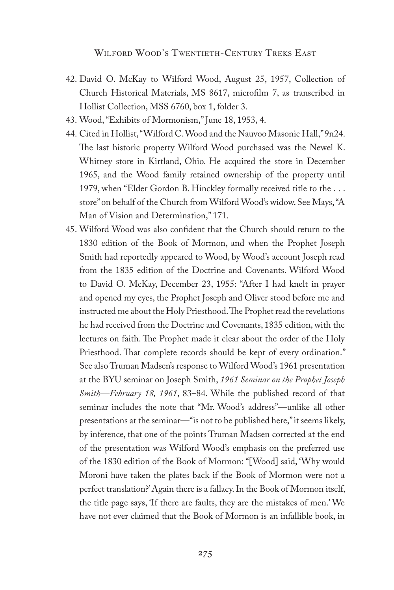- 42. David O. McKay to Wilford Wood, August 25, 1957, Collection of Church Historical Materials, MS 8617, microfilm 7, as transcribed in Hollist Collection, MSS 6760, box 1, folder 3.
- 43. Wood, "Exhibits of Mormonism," June 18, 1953, 4.
- 44. Cited in Hollist, "Wilford C. Wood and the Nauvoo Masonic Hall," 9n24. The last historic property Wilford Wood purchased was the Newel K. Whitney store in Kirtland, Ohio. He acquired the store in December 1965, and the Wood family retained ownership of the property until 1979, when "Elder Gordon B. Hinckley formally received title to the . . . store" on behalf of the Church from Wilford Wood's widow. See Mays, "A Man of Vision and Determination," 171.
- 45. Wilford Wood was also confident that the Church should return to the 1830 edition of the Book of Mormon, and when the Prophet Joseph Smith had reportedly appeared to Wood, by Wood's account Joseph read from the 1835 edition of the Doctrine and Covenants. Wilford Wood to David O. McKay, December 23, 1955: "After I had knelt in prayer and opened my eyes, the Prophet Joseph and Oliver stood before me and instructed me about the Holy Priesthood. The Prophet read the revelations he had received from the Doctrine and Covenants, 1835 edition, with the lectures on faith. The Prophet made it clear about the order of the Holy Priesthood. That complete records should be kept of every ordination." See also Truman Madsen's response to Wilford Wood's 1961 presentation at the BYU seminar on Joseph Smith, *1961 Seminar on the Prophet Joseph Smith—February 18, 1961*, 83–84. While the published record of that seminar includes the note that "Mr. Wood's address"—unlike all other presentations at the seminar—"is not to be published here," it seems likely, by inference, that one of the points Truman Madsen corrected at the end of the presentation was Wilford Wood's emphasis on the preferred use of the 1830 edition of the Book of Mormon: "[Wood] said, 'Why would Moroni have taken the plates back if the Book of Mormon were not a perfect translation?' Again there is a fallacy. In the Book of Mormon itself, the title page says, 'If there are faults, they are the mistakes of men.' We have not ever claimed that the Book of Mormon is an infallible book, in